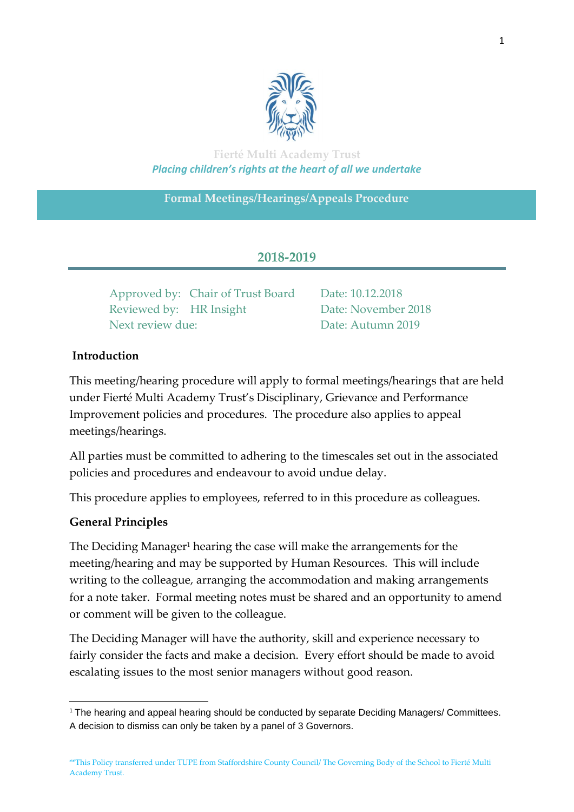

**Fierté Multi Academy Trust** *Placing children's rights at the heart of all we undertake*

**Formal Meetings/Hearings/Appeals Procedure**

# **2018-2019**

Approved by: Chair of Trust Board Date: 10.12.2018 Reviewed by: HR Insight Date: November 2018 Next review due: Date: Autumn 2019

# **Introduction**

This meeting/hearing procedure will apply to formal meetings/hearings that are held under Fierté Multi Academy Trust's Disciplinary, Grievance and Performance Improvement policies and procedures. The procedure also applies to appeal meetings/hearings.

All parties must be committed to adhering to the timescales set out in the associated policies and procedures and endeavour to avoid undue delay.

This procedure applies to employees, referred to in this procedure as colleagues.

# **General Principles**

The Deciding Manager<sup>1</sup> hearing the case will make the arrangements for the meeting/hearing and may be supported by Human Resources. This will include writing to the colleague, arranging the accommodation and making arrangements for a note taker. Formal meeting notes must be shared and an opportunity to amend or comment will be given to the colleague.

The Deciding Manager will have the authority, skill and experience necessary to fairly consider the facts and make a decision. Every effort should be made to avoid escalating issues to the most senior managers without good reason.

**<sup>.</sup>** <sup>1</sup> The hearing and appeal hearing should be conducted by separate Deciding Managers/ Committees. A decision to dismiss can only be taken by a panel of 3 Governors.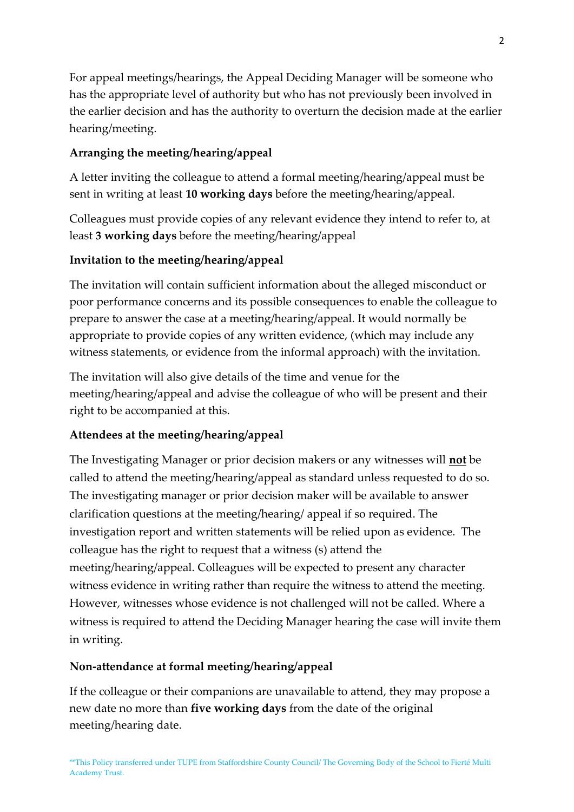For appeal meetings/hearings, the Appeal Deciding Manager will be someone who has the appropriate level of authority but who has not previously been involved in the earlier decision and has the authority to overturn the decision made at the earlier hearing/meeting.

# **Arranging the meeting/hearing/appeal**

A letter inviting the colleague to attend a formal meeting/hearing/appeal must be sent in writing at least **10 working days** before the meeting/hearing/appeal.

Colleagues must provide copies of any relevant evidence they intend to refer to, at least **3 working days** before the meeting/hearing/appeal

# **Invitation to the meeting/hearing/appeal**

The invitation will contain sufficient information about the alleged misconduct or poor performance concerns and its possible consequences to enable the colleague to prepare to answer the case at a meeting/hearing/appeal. It would normally be appropriate to provide copies of any written evidence, (which may include any witness statements, or evidence from the informal approach) with the invitation.

The invitation will also give details of the time and venue for the meeting/hearing/appeal and advise the colleague of who will be present and their right to be accompanied at this.

#### **Attendees at the meeting/hearing/appeal**

The Investigating Manager or prior decision makers or any witnesses will **not** be called to attend the meeting/hearing/appeal as standard unless requested to do so. The investigating manager or prior decision maker will be available to answer clarification questions at the meeting/hearing/ appeal if so required. The investigation report and written statements will be relied upon as evidence. The colleague has the right to request that a witness (s) attend the meeting/hearing/appeal. Colleagues will be expected to present any character witness evidence in writing rather than require the witness to attend the meeting. However, witnesses whose evidence is not challenged will not be called. Where a witness is required to attend the Deciding Manager hearing the case will invite them in writing.

#### **Non-attendance at formal meeting/hearing/appeal**

If the colleague or their companions are unavailable to attend, they may propose a new date no more than **five working days** from the date of the original meeting/hearing date.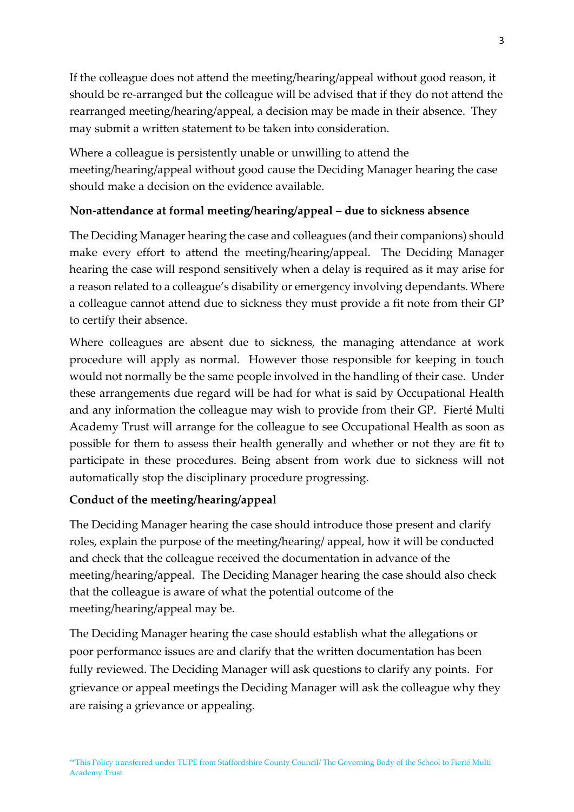If the colleague does not attend the meeting/hearing/appeal without good reason, it should be re-arranged but the colleague will be advised that if they do not attend the rearranged meeting/hearing/appeal, a decision may be made in their absence. They may submit a written statement to be taken into consideration.

Where a colleague is persistently unable or unwilling to attend the meeting/hearing/appeal without good cause the Deciding Manager hearing the case should make a decision on the evidence available.

# **Non-attendance at formal meeting/hearing/appeal – due to sickness absence**

The Deciding Manager hearing the case and colleagues (and their companions) should make every effort to attend the meeting/hearing/appeal. The Deciding Manager hearing the case will respond sensitively when a delay is required as it may arise for a reason related to a colleague's disability or emergency involving dependants. Where a colleague cannot attend due to sickness they must provide a fit note from their GP to certify their absence.

Where colleagues are absent due to sickness, the managing attendance at work procedure will apply as normal. However those responsible for keeping in touch would not normally be the same people involved in the handling of their case. Under these arrangements due regard will be had for what is said by Occupational Health and any information the colleague may wish to provide from their GP. Fierté Multi Academy Trust will arrange for the colleague to see Occupational Health as soon as possible for them to assess their health generally and whether or not they are fit to participate in these procedures. Being absent from work due to sickness will not automatically stop the disciplinary procedure progressing.

#### **Conduct of the meeting/hearing/appeal**

The Deciding Manager hearing the case should introduce those present and clarify roles, explain the purpose of the meeting/hearing/ appeal, how it will be conducted and check that the colleague received the documentation in advance of the meeting/hearing/appeal. The Deciding Manager hearing the case should also check that the colleague is aware of what the potential outcome of the meeting/hearing/appeal may be.

The Deciding Manager hearing the case should establish what the allegations or poor performance issues are and clarify that the written documentation has been fully reviewed. The Deciding Manager will ask questions to clarify any points. For grievance or appeal meetings the Deciding Manager will ask the colleague why they are raising a grievance or appealing.